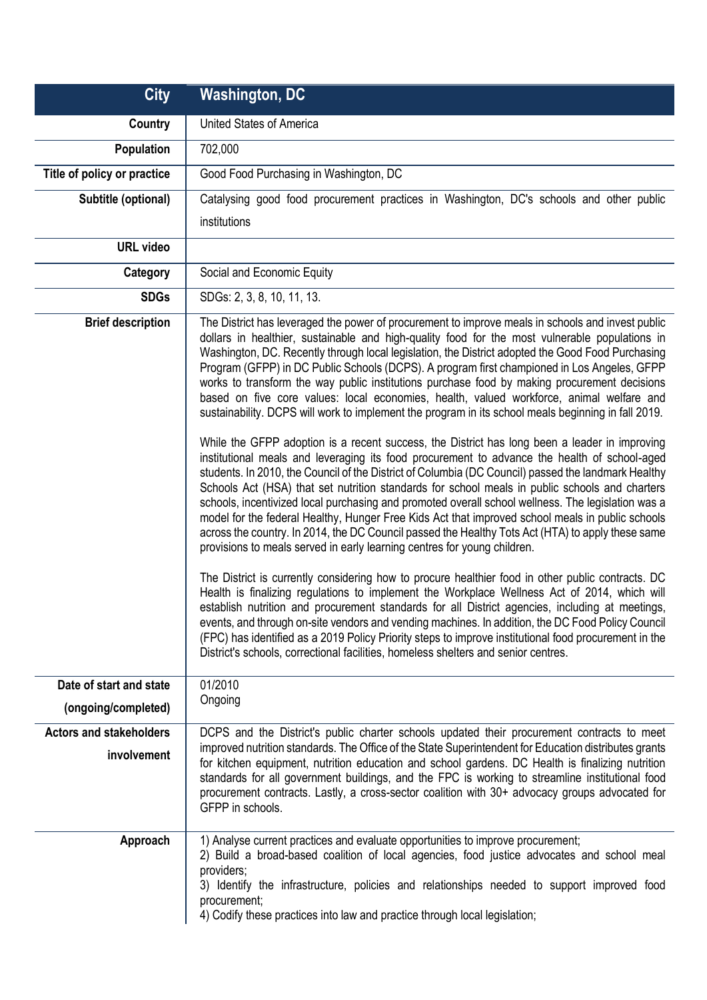| <b>City</b>                    | <b>Washington, DC</b>                                                                                                                                                                                                                                                                                                                                                                                                                                                                                                                                                                                                                                                                                                                                                                                                                                                                                                                                                                                                                                                                                                                                                                                                                                                                                                                                                                                                                                                                                                                                                                                                                                                                                                                                                                                                                                                                                                                                                                                                                                                                                                       |
|--------------------------------|-----------------------------------------------------------------------------------------------------------------------------------------------------------------------------------------------------------------------------------------------------------------------------------------------------------------------------------------------------------------------------------------------------------------------------------------------------------------------------------------------------------------------------------------------------------------------------------------------------------------------------------------------------------------------------------------------------------------------------------------------------------------------------------------------------------------------------------------------------------------------------------------------------------------------------------------------------------------------------------------------------------------------------------------------------------------------------------------------------------------------------------------------------------------------------------------------------------------------------------------------------------------------------------------------------------------------------------------------------------------------------------------------------------------------------------------------------------------------------------------------------------------------------------------------------------------------------------------------------------------------------------------------------------------------------------------------------------------------------------------------------------------------------------------------------------------------------------------------------------------------------------------------------------------------------------------------------------------------------------------------------------------------------------------------------------------------------------------------------------------------------|
| Country                        | <b>United States of America</b>                                                                                                                                                                                                                                                                                                                                                                                                                                                                                                                                                                                                                                                                                                                                                                                                                                                                                                                                                                                                                                                                                                                                                                                                                                                                                                                                                                                                                                                                                                                                                                                                                                                                                                                                                                                                                                                                                                                                                                                                                                                                                             |
| Population                     | 702,000                                                                                                                                                                                                                                                                                                                                                                                                                                                                                                                                                                                                                                                                                                                                                                                                                                                                                                                                                                                                                                                                                                                                                                                                                                                                                                                                                                                                                                                                                                                                                                                                                                                                                                                                                                                                                                                                                                                                                                                                                                                                                                                     |
| Title of policy or practice    | Good Food Purchasing in Washington, DC                                                                                                                                                                                                                                                                                                                                                                                                                                                                                                                                                                                                                                                                                                                                                                                                                                                                                                                                                                                                                                                                                                                                                                                                                                                                                                                                                                                                                                                                                                                                                                                                                                                                                                                                                                                                                                                                                                                                                                                                                                                                                      |
| Subtitle (optional)            | Catalysing good food procurement practices in Washington, DC's schools and other public                                                                                                                                                                                                                                                                                                                                                                                                                                                                                                                                                                                                                                                                                                                                                                                                                                                                                                                                                                                                                                                                                                                                                                                                                                                                                                                                                                                                                                                                                                                                                                                                                                                                                                                                                                                                                                                                                                                                                                                                                                     |
|                                | institutions                                                                                                                                                                                                                                                                                                                                                                                                                                                                                                                                                                                                                                                                                                                                                                                                                                                                                                                                                                                                                                                                                                                                                                                                                                                                                                                                                                                                                                                                                                                                                                                                                                                                                                                                                                                                                                                                                                                                                                                                                                                                                                                |
| <b>URL</b> video               |                                                                                                                                                                                                                                                                                                                                                                                                                                                                                                                                                                                                                                                                                                                                                                                                                                                                                                                                                                                                                                                                                                                                                                                                                                                                                                                                                                                                                                                                                                                                                                                                                                                                                                                                                                                                                                                                                                                                                                                                                                                                                                                             |
| Category                       | Social and Economic Equity                                                                                                                                                                                                                                                                                                                                                                                                                                                                                                                                                                                                                                                                                                                                                                                                                                                                                                                                                                                                                                                                                                                                                                                                                                                                                                                                                                                                                                                                                                                                                                                                                                                                                                                                                                                                                                                                                                                                                                                                                                                                                                  |
| <b>SDGs</b>                    | SDGs: 2, 3, 8, 10, 11, 13.                                                                                                                                                                                                                                                                                                                                                                                                                                                                                                                                                                                                                                                                                                                                                                                                                                                                                                                                                                                                                                                                                                                                                                                                                                                                                                                                                                                                                                                                                                                                                                                                                                                                                                                                                                                                                                                                                                                                                                                                                                                                                                  |
| <b>Brief description</b>       | The District has leveraged the power of procurement to improve meals in schools and invest public<br>dollars in healthier, sustainable and high-quality food for the most vulnerable populations in<br>Washington, DC. Recently through local legislation, the District adopted the Good Food Purchasing<br>Program (GFPP) in DC Public Schools (DCPS). A program first championed in Los Angeles, GFPP<br>works to transform the way public institutions purchase food by making procurement decisions<br>based on five core values: local economies, health, valued workforce, animal welfare and<br>sustainability. DCPS will work to implement the program in its school meals beginning in fall 2019.<br>While the GFPP adoption is a recent success, the District has long been a leader in improving<br>institutional meals and leveraging its food procurement to advance the health of school-aged<br>students. In 2010, the Council of the District of Columbia (DC Council) passed the landmark Healthy<br>Schools Act (HSA) that set nutrition standards for school meals in public schools and charters<br>schools, incentivized local purchasing and promoted overall school wellness. The legislation was a<br>model for the federal Healthy, Hunger Free Kids Act that improved school meals in public schools<br>across the country. In 2014, the DC Council passed the Healthy Tots Act (HTA) to apply these same<br>provisions to meals served in early learning centres for young children.<br>The District is currently considering how to procure healthier food in other public contracts. DC<br>Health is finalizing regulations to implement the Workplace Wellness Act of 2014, which will<br>establish nutrition and procurement standards for all District agencies, including at meetings,<br>events, and through on-site vendors and vending machines. In addition, the DC Food Policy Council<br>(FPC) has identified as a 2019 Policy Priority steps to improve institutional food procurement in the<br>District's schools, correctional facilities, homeless shelters and senior centres. |
| Date of start and state        | 01/2010                                                                                                                                                                                                                                                                                                                                                                                                                                                                                                                                                                                                                                                                                                                                                                                                                                                                                                                                                                                                                                                                                                                                                                                                                                                                                                                                                                                                                                                                                                                                                                                                                                                                                                                                                                                                                                                                                                                                                                                                                                                                                                                     |
| (ongoing/completed)            | Ongoing                                                                                                                                                                                                                                                                                                                                                                                                                                                                                                                                                                                                                                                                                                                                                                                                                                                                                                                                                                                                                                                                                                                                                                                                                                                                                                                                                                                                                                                                                                                                                                                                                                                                                                                                                                                                                                                                                                                                                                                                                                                                                                                     |
| <b>Actors and stakeholders</b> | DCPS and the District's public charter schools updated their procurement contracts to meet<br>improved nutrition standards. The Office of the State Superintendent for Education distributes grants                                                                                                                                                                                                                                                                                                                                                                                                                                                                                                                                                                                                                                                                                                                                                                                                                                                                                                                                                                                                                                                                                                                                                                                                                                                                                                                                                                                                                                                                                                                                                                                                                                                                                                                                                                                                                                                                                                                         |
| involvement                    | for kitchen equipment, nutrition education and school gardens. DC Health is finalizing nutrition<br>standards for all government buildings, and the FPC is working to streamline institutional food<br>procurement contracts. Lastly, a cross-sector coalition with 30+ advocacy groups advocated for<br>GFPP in schools.                                                                                                                                                                                                                                                                                                                                                                                                                                                                                                                                                                                                                                                                                                                                                                                                                                                                                                                                                                                                                                                                                                                                                                                                                                                                                                                                                                                                                                                                                                                                                                                                                                                                                                                                                                                                   |
| Approach                       | 1) Analyse current practices and evaluate opportunities to improve procurement;<br>2) Build a broad-based coalition of local agencies, food justice advocates and school meal<br>providers;<br>3) Identify the infrastructure, policies and relationships needed to support improved food<br>procurement;<br>4) Codify these practices into law and practice through local legislation;                                                                                                                                                                                                                                                                                                                                                                                                                                                                                                                                                                                                                                                                                                                                                                                                                                                                                                                                                                                                                                                                                                                                                                                                                                                                                                                                                                                                                                                                                                                                                                                                                                                                                                                                     |